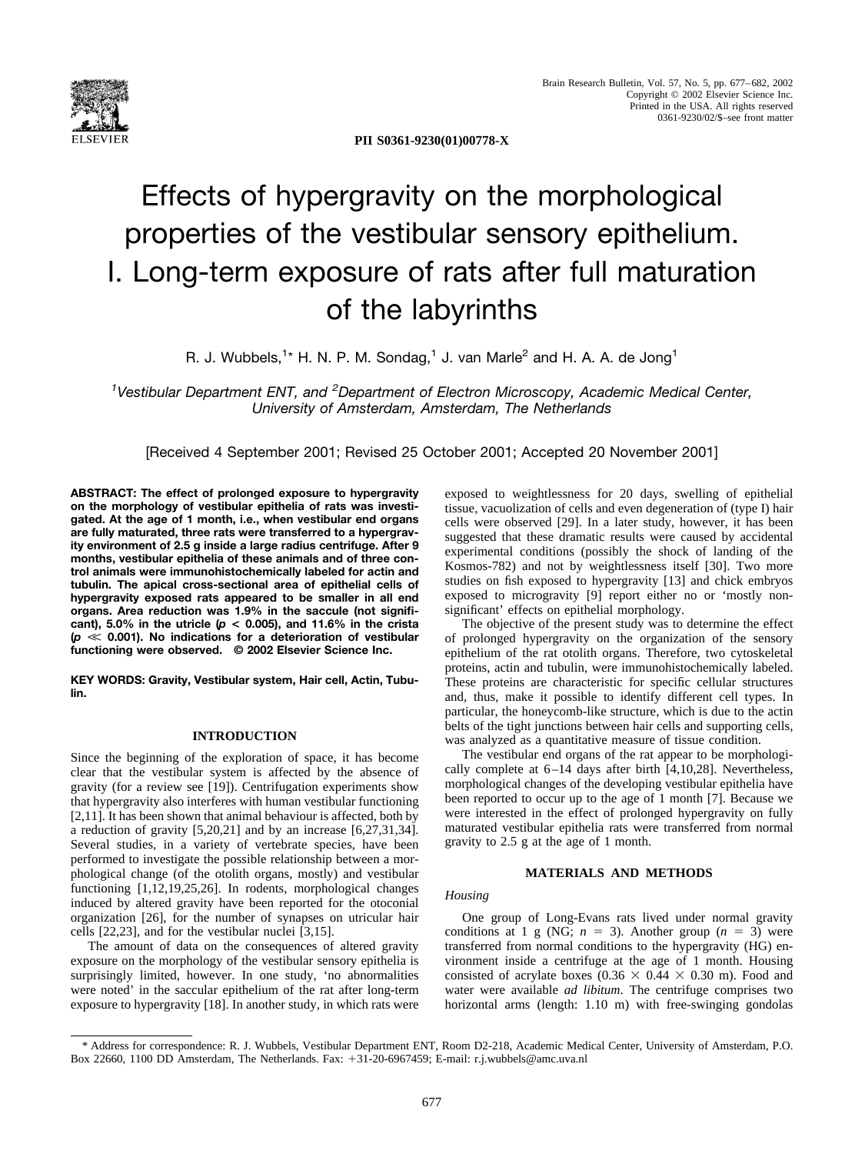

**PII S0361-9230(01)00778-X**

# Effects of hypergravity on the morphological properties of the vestibular sensory epithelium. I. Long-term exposure of rats after full maturation of the labyrinths

R. J. Wubbels,<sup>1</sup>\* H. N. P. M. Sondag,<sup>1</sup> J. van Marle<sup>2</sup> and H. A. A. de Jong<sup>1</sup>

<sup>1</sup> Vestibular Department ENT, and <sup>2</sup> Department of Electron Microscopy, Academic Medical Center, *University of Amsterdam, Amsterdam, The Netherlands*

[Received 4 September 2001; Revised 25 October 2001; Accepted 20 November 2001]

**ABSTRACT: The effect of prolonged exposure to hypergravity on the morphology of vestibular epithelia of rats was investigated. At the age of 1 month, i.e., when vestibular end organs are fully maturated, three rats were transferred to a hypergravity environment of 2.5 g inside a large radius centrifuge. After 9 months, vestibular epithelia of these animals and of three control animals were immunohistochemically labeled for actin and tubulin. The apical cross-sectional area of epithelial cells of hypergravity exposed rats appeared to be smaller in all end organs. Area reduction was 1.9% in the saccule (not significant), 5.0% in the utricle (***p* **< 0.005), and 11.6% in the crista (***p* **0.001). No indications for a deterioration of vestibular functioning were observed. © 2002 Elsevier Science Inc.**

**KEY WORDS: Gravity, Vestibular system, Hair cell, Actin, Tubulin.**

## **INTRODUCTION**

Since the beginning of the exploration of space, it has become clear that the vestibular system is affected by the absence of gravity (for a review see [19]). Centrifugation experiments show that hypergravity also interferes with human vestibular functioning [2,11]. It has been shown that animal behaviour is affected, both by a reduction of gravity [5,20,21] and by an increase [6,27,31,34]. Several studies, in a variety of vertebrate species, have been performed to investigate the possible relationship between a morphological change (of the otolith organs, mostly) and vestibular functioning [1,12,19,25,26]. In rodents, morphological changes induced by altered gravity have been reported for the otoconial organization [26], for the number of synapses on utricular hair cells [22,23], and for the vestibular nuclei [3,15].

The amount of data on the consequences of altered gravity exposure on the morphology of the vestibular sensory epithelia is surprisingly limited, however. In one study, 'no abnormalities were noted' in the saccular epithelium of the rat after long-term exposure to hypergravity [18]. In another study, in which rats were exposed to weightlessness for 20 days, swelling of epithelial tissue, vacuolization of cells and even degeneration of (type I) hair cells were observed [29]. In a later study, however, it has been suggested that these dramatic results were caused by accidental experimental conditions (possibly the shock of landing of the Kosmos-782) and not by weightlessness itself [30]. Two more studies on fish exposed to hypergravity [13] and chick embryos exposed to microgravity [9] report either no or 'mostly nonsignificant' effects on epithelial morphology.

The objective of the present study was to determine the effect of prolonged hypergravity on the organization of the sensory epithelium of the rat otolith organs. Therefore, two cytoskeletal proteins, actin and tubulin, were immunohistochemically labeled. These proteins are characteristic for specific cellular structures and, thus, make it possible to identify different cell types. In particular, the honeycomb-like structure, which is due to the actin belts of the tight junctions between hair cells and supporting cells, was analyzed as a quantitative measure of tissue condition.

The vestibular end organs of the rat appear to be morphologically complete at 6–14 days after birth [4,10,28]. Nevertheless, morphological changes of the developing vestibular epithelia have been reported to occur up to the age of 1 month [7]. Because we were interested in the effect of prolonged hypergravity on fully maturated vestibular epithelia rats were transferred from normal gravity to 2.5 g at the age of 1 month.

## **MATERIALS AND METHODS**

## *Housing*

One group of Long-Evans rats lived under normal gravity conditions at 1 g (NG;  $n = 3$ ). Another group ( $n = 3$ ) were transferred from normal conditions to the hypergravity (HG) environment inside a centrifuge at the age of 1 month. Housing consisted of acrylate boxes (0.36  $\times$  0.44  $\times$  0.30 m). Food and water were available *ad libitum*. The centrifuge comprises two horizontal arms (length: 1.10 m) with free-swinging gondolas

<sup>\*</sup> Address for correspondence: R. J. Wubbels, Vestibular Department ENT, Room D2-218, Academic Medical Center, University of Amsterdam, P.O. Box 22660, 1100 DD Amsterdam, The Netherlands. Fax: 31-20-6967459; E-mail: r.j.wubbels@amc.uva.nl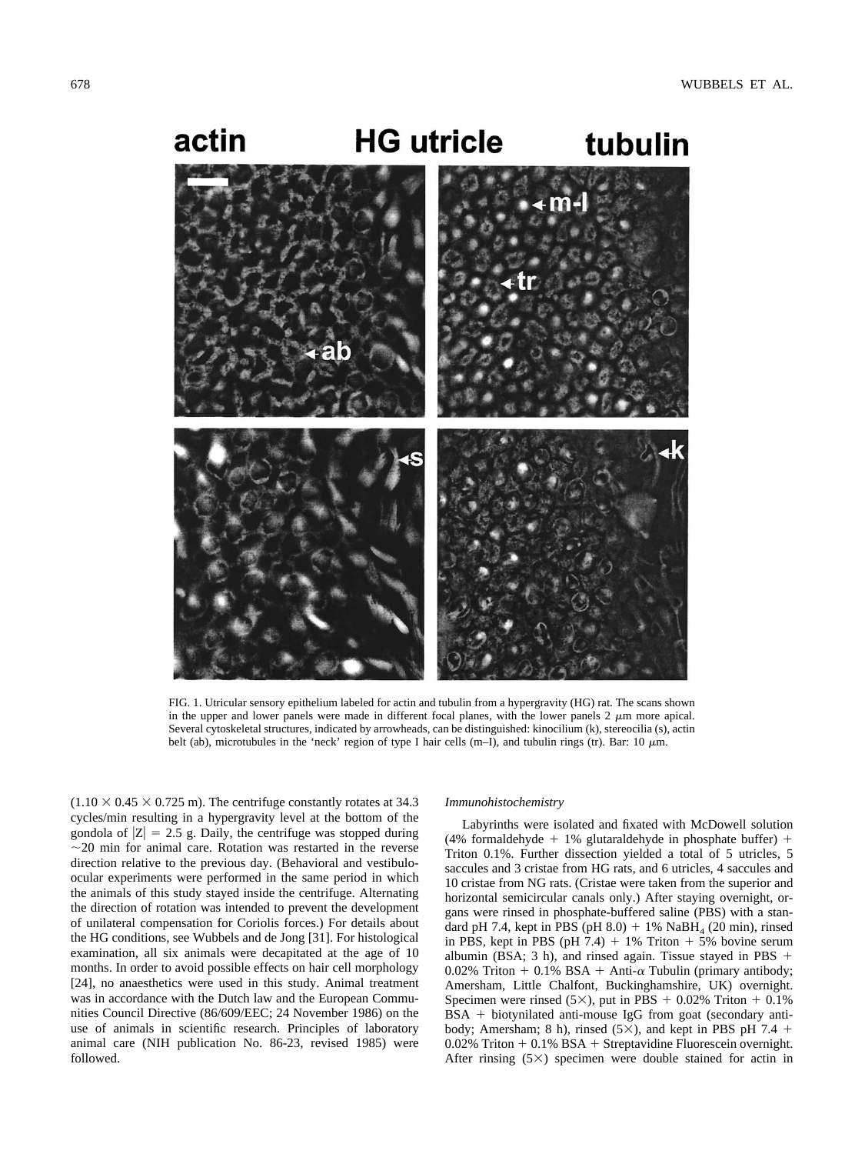

FIG. 1. Utricular sensory epithelium labeled for actin and tubulin from a hypergravity (HG) rat. The scans shown in the upper and lower panels were made in different focal planes, with the lower panels  $2 \mu m$  more apical. Several cytoskeletal structures, indicated by arrowheads, can be distinguished: kinocilium (k), stereocilia (s), actin belt (ab), microtubules in the 'neck' region of type I hair cells (m–I), and tubulin rings (tr). Bar: 10  $\mu$ m.

 $(1.10 \times 0.45 \times 0.725 \text{ m})$ . The centrifuge constantly rotates at 34.3 cycles/min resulting in a hypergravity level at the bottom of the gondola of  $|Z| = 2.5$  g. Daily, the centrifuge was stopped during  $\sim$ 20 min for animal care. Rotation was restarted in the reverse direction relative to the previous day. (Behavioral and vestibuloocular experiments were performed in the same period in which the animals of this study stayed inside the centrifuge. Alternating the direction of rotation was intended to prevent the development of unilateral compensation for Coriolis forces.) For details about the HG conditions, see Wubbels and de Jong [31]. For histological examination, all six animals were decapitated at the age of 10 months. In order to avoid possible effects on hair cell morphology [24], no anaesthetics were used in this study. Animal treatment was in accordance with the Dutch law and the European Communities Council Directive (86/609/EEC; 24 November 1986) on the use of animals in scientific research. Principles of laboratory animal care (NIH publication No. 86-23, revised 1985) were followed.

#### *Immunohistochemistry*

Labyrinths were isolated and fixated with McDowell solution (4% formaldehyde  $+$  1% glutaraldehyde in phosphate buffer)  $+$ Triton 0.1%. Further dissection yielded a total of 5 utricles, 5 saccules and 3 cristae from HG rats, and 6 utricles, 4 saccules and 10 cristae from NG rats. (Cristae were taken from the superior and horizontal semicircular canals only.) After staying overnight, organs were rinsed in phosphate-buffered saline (PBS) with a standard pH 7.4, kept in PBS (pH  $8.0$ ) + 1% NaBH<sub>4</sub> (20 min), rinsed in PBS, kept in PBS (pH  $7.4$ ) + 1% Triton + 5% bovine serum albumin (BSA; 3 h), and rinsed again. Tissue stayed in PBS  $+$ 0.02% Triton + 0.1% BSA + Anti- $\alpha$  Tubulin (primary antibody; Amersham, Little Chalfont, Buckinghamshire, UK) overnight. Specimen were rinsed  $(5\times)$ , put in PBS + 0.02% Triton + 0.1%  $BSA + biotynilated anti-mouse IgG from goat (secondary anti$ body; Amersham; 8 h), rinsed  $(5\times)$ , and kept in PBS pH 7.4 +  $0.02\%$  Triton  $+0.1\%$  BSA  $+$  Streptavidine Fluorescein overnight. After rinsing  $(5\times)$  specimen were double stained for actin in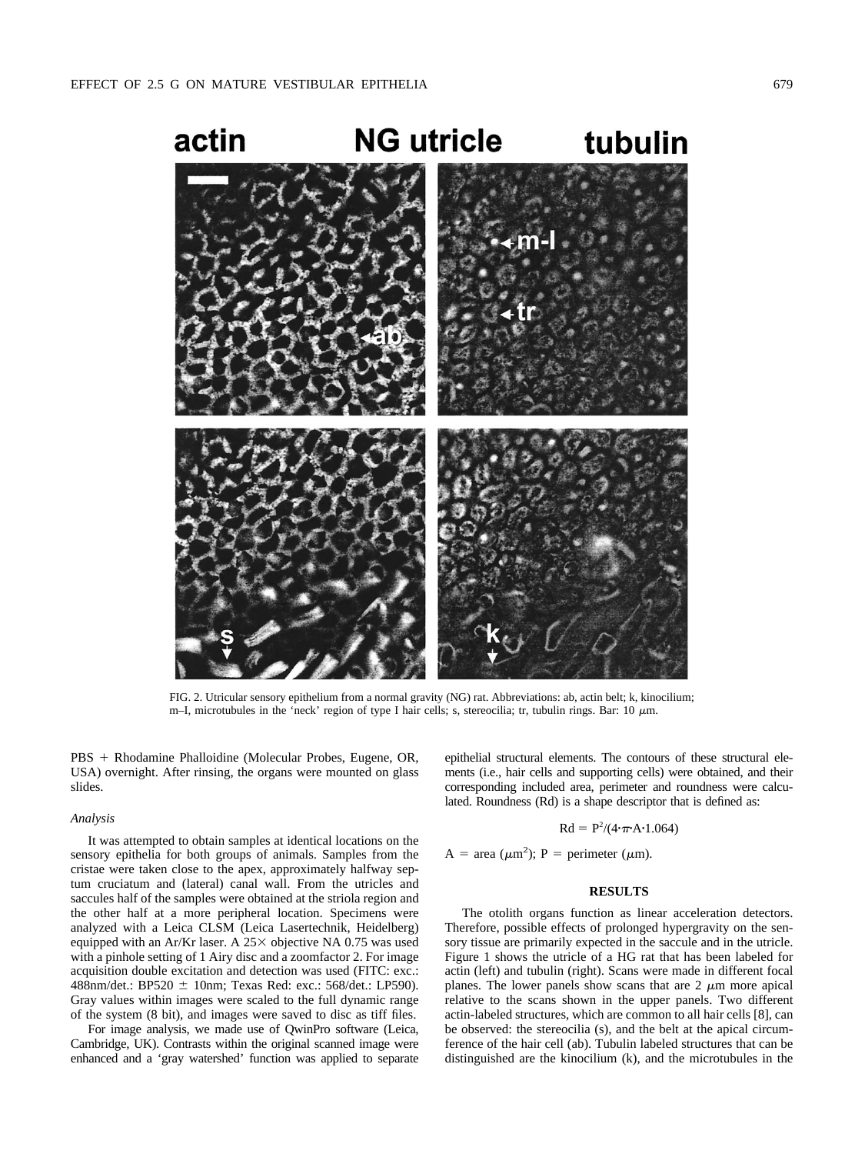

FIG. 2. Utricular sensory epithelium from a normal gravity (NG) rat. Abbreviations: ab, actin belt; k, kinocilium; m–I, microtubules in the 'neck' region of type I hair cells; s, stereocilia; tr, tubulin rings. Bar: 10  $\mu$ m.

PBS + Rhodamine Phalloidine (Molecular Probes, Eugene, OR, USA) overnight. After rinsing, the organs were mounted on glass slides.

#### *Analysis*

It was attempted to obtain samples at identical locations on the sensory epithelia for both groups of animals. Samples from the cristae were taken close to the apex, approximately halfway septum cruciatum and (lateral) canal wall. From the utricles and saccules half of the samples were obtained at the striola region and the other half at a more peripheral location. Specimens were analyzed with a Leica CLSM (Leica Lasertechnik, Heidelberg) equipped with an Ar/Kr laser. A  $25\times$  objective NA 0.75 was used with a pinhole setting of 1 Airy disc and a zoomfactor 2. For image acquisition double excitation and detection was used (FITC: exc.: 488nm/det.: BP520  $\pm$  10nm; Texas Red: exc.: 568/det.: LP590). Gray values within images were scaled to the full dynamic range of the system (8 bit), and images were saved to disc as tiff files.

For image analysis, we made use of QwinPro software (Leica, Cambridge, UK). Contrasts within the original scanned image were enhanced and a 'gray watershed' function was applied to separate epithelial structural elements. The contours of these structural elements (i.e., hair cells and supporting cells) were obtained, and their corresponding included area, perimeter and roundness were calculated. Roundness (Rd) is a shape descriptor that is defined as:

$$
Rd = P^2/(4 \cdot \pi \cdot A \cdot 1.064)
$$

A = area ( $\mu$ m<sup>2</sup>); P = perimeter ( $\mu$ m).

### **RESULTS**

The otolith organs function as linear acceleration detectors. Therefore, possible effects of prolonged hypergravity on the sensory tissue are primarily expected in the saccule and in the utricle. Figure 1 shows the utricle of a HG rat that has been labeled for actin (left) and tubulin (right). Scans were made in different focal planes. The lower panels show scans that are  $2 \mu m$  more apical relative to the scans shown in the upper panels. Two different actin-labeled structures, which are common to all hair cells [8], can be observed: the stereocilia (s), and the belt at the apical circumference of the hair cell (ab). Tubulin labeled structures that can be distinguished are the kinocilium (k), and the microtubules in the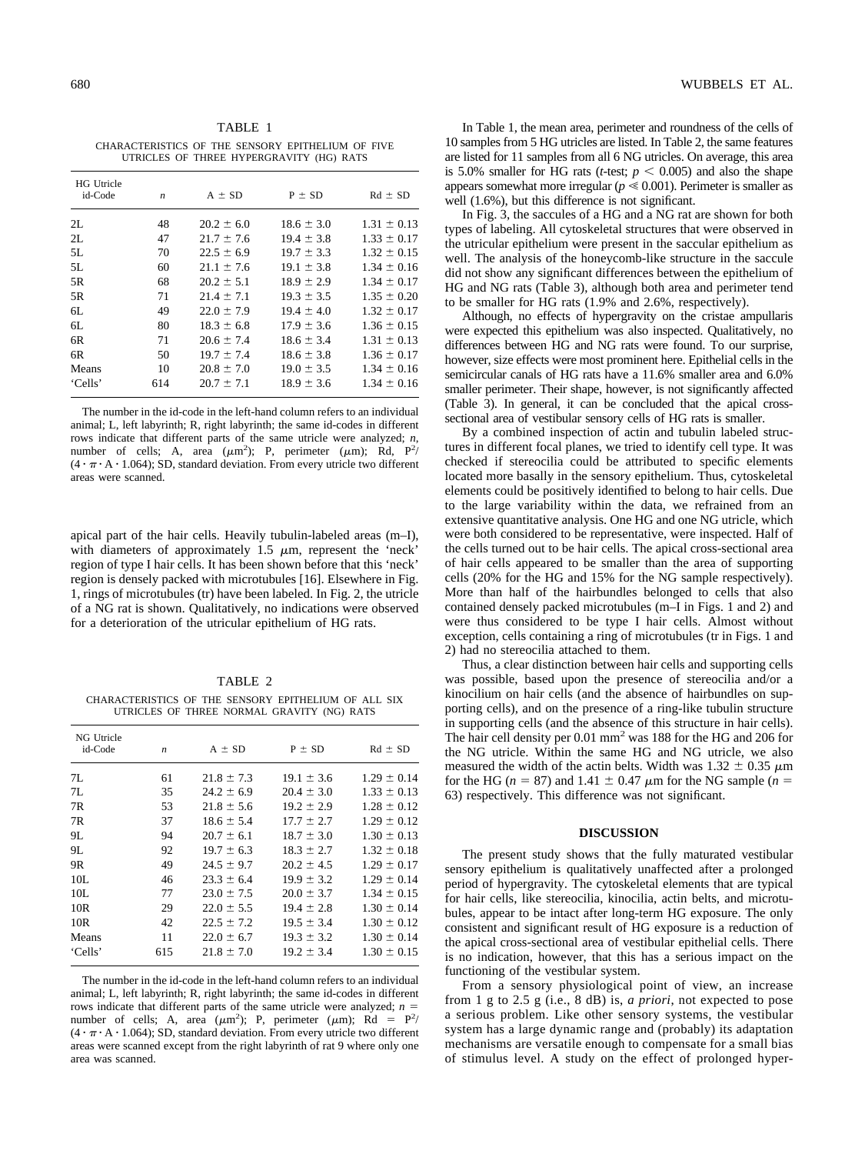TABLE 1 CHARACTERISTICS OF THE SENSORY EPITHELIUM OF FIVE UTRICLES OF THREE HYPERGRAVITY (HG) RATS

| <b>HG</b> Utricle<br>id-Code | $\boldsymbol{n}$ | $A \pm SD$     | $P \pm SD$     | $Rd \pm SD$     |
|------------------------------|------------------|----------------|----------------|-----------------|
| 2L                           | 48               | $20.2 \pm 6.0$ | $18.6 \pm 3.0$ | $1.31 \pm 0.13$ |
| 2L                           | 47               | $21.7 \pm 7.6$ | $19.4 \pm 3.8$ | $1.33 \pm 0.17$ |
| 5L                           | 70               | $22.5 \pm 6.9$ | $19.7 \pm 3.3$ | $1.32 \pm 0.15$ |
| 5L                           | 60               | $21.1 \pm 7.6$ | $19.1 \pm 3.8$ | $1.34 \pm 0.16$ |
| 5R                           | 68               | $20.2 \pm 5.1$ | $18.9 \pm 2.9$ | $1.34 \pm 0.17$ |
| 5R                           | 71               | $21.4 \pm 7.1$ | $19.3 \pm 3.5$ | $1.35 \pm 0.20$ |
| 6L                           | 49               | $22.0 \pm 7.9$ | $19.4 \pm 4.0$ | $1.32 \pm 0.17$ |
| 6L                           | 80               | $18.3 \pm 6.8$ | $17.9 \pm 3.6$ | $1.36 \pm 0.15$ |
| 6R                           | 71               | $20.6 \pm 7.4$ | $18.6 \pm 3.4$ | $1.31 \pm 0.13$ |
| 6R                           | 50               | $19.7 \pm 7.4$ | $18.6 \pm 3.8$ | $1.36 \pm 0.17$ |
| Means                        | 10               | $20.8 \pm 7.0$ | $19.0 \pm 3.5$ | $1.34 \pm 0.16$ |
| 'Cells'                      | 614              | $20.7 \pm 7.1$ | $18.9 \pm 3.6$ | $1.34 \pm 0.16$ |

The number in the id-code in the left-hand column refers to an individual animal; L, left labyrinth; R, right labyrinth; the same id-codes in different rows indicate that different parts of the same utricle were analyzed; *n*, number of cells; A, area  $(\mu m^2)$ ; P, perimeter  $(\mu m)$ ; Rd, P<sup>2</sup>/  $(4 \cdot \pi \cdot A \cdot 1.064)$ ; SD, standard deviation. From every utricle two different areas were scanned.

apical part of the hair cells. Heavily tubulin-labeled areas (m–I), with diameters of approximately  $1.5 \mu m$ , represent the 'neck' region of type I hair cells. It has been shown before that this 'neck' region is densely packed with microtubules [16]. Elsewhere in Fig. 1, rings of microtubules (tr) have been labeled. In Fig. 2, the utricle of a NG rat is shown. Qualitatively, no indications were observed for a deterioration of the utricular epithelium of HG rats.

TABLE 2 CHARACTERISTICS OF THE SENSORY EPITHELIUM OF ALL SIX UTRICLES OF THREE NORMAL GRAVITY (NG) RATS

| NG Utricle<br>id-Code | $\boldsymbol{n}$ | $A \pm SD$     | $P \pm SD$     | $Rd \pm SD$     |
|-----------------------|------------------|----------------|----------------|-----------------|
| 7L                    | 61               | $21.8 \pm 7.3$ | $19.1 \pm 3.6$ | $1.29 \pm 0.14$ |
| 7I.                   | 35               | $24.2 \pm 6.9$ | $20.4 \pm 3.0$ | $1.33 \pm 0.13$ |
| 7R                    | 53               | $21.8 \pm 5.6$ | $19.2 \pm 2.9$ | $1.28 \pm 0.12$ |
| 7R                    | 37               | $18.6 \pm 5.4$ | $17.7 \pm 2.7$ | $1.29 \pm 0.12$ |
| 9L                    | 94               | $20.7 \pm 6.1$ | $18.7 \pm 3.0$ | $1.30 \pm 0.13$ |
| 9L                    | 92               | $19.7 \pm 6.3$ | $18.3 \pm 2.7$ | $1.32 \pm 0.18$ |
| 9R                    | 49               | $24.5 \pm 9.7$ | $20.2 \pm 4.5$ | $1.29 \pm 0.17$ |
| 10L                   | 46               | $23.3 \pm 6.4$ | $19.9 \pm 3.2$ | $1.29 \pm 0.14$ |
| 10L                   | 77               | $23.0 \pm 7.5$ | $20.0 \pm 3.7$ | $1.34 \pm 0.15$ |
| 10R                   | 29               | $22.0 \pm 5.5$ | $19.4 \pm 2.8$ | $1.30 \pm 0.14$ |
| 10R                   | 42               | $22.5 \pm 7.2$ | $19.5 \pm 3.4$ | $1.30 \pm 0.12$ |
| Means                 | 11               | $22.0 \pm 6.7$ | $19.3 \pm 3.2$ | $1.30 \pm 0.14$ |
| 'Cells'               | 615              | $21.8 \pm 7.0$ | $19.2 \pm 3.4$ | $1.30 \pm 0.15$ |
|                       |                  |                |                |                 |

The number in the id-code in the left-hand column refers to an individual animal; L, left labyrinth; R, right labyrinth; the same id-codes in different rows indicate that different parts of the same utricle were analyzed;  $n =$ number of cells; A, area  $(\mu m^2)$ ; P, perimeter  $(\mu m)$ ; Rd = P<sup>2</sup>/  $(4 \cdot \pi \cdot A \cdot 1.064)$ ; SD, standard deviation. From every utricle two different areas were scanned except from the right labyrinth of rat 9 where only one area was scanned.

In Table 1, the mean area, perimeter and roundness of the cells of 10 samples from 5 HG utricles are listed. In Table 2, the same features are listed for 11 samples from all 6 NG utricles. On average, this area is 5.0% smaller for HG rats (*t*-test;  $p < 0.005$ ) and also the shape appears somewhat more irregular ( $p \le 0.001$ ). Perimeter is smaller as well (1.6%), but this difference is not significant.

In Fig. 3, the saccules of a HG and a NG rat are shown for both types of labeling. All cytoskeletal structures that were observed in the utricular epithelium were present in the saccular epithelium as well. The analysis of the honeycomb-like structure in the saccule did not show any significant differences between the epithelium of HG and NG rats (Table 3), although both area and perimeter tend to be smaller for HG rats (1.9% and 2.6%, respectively).

Although, no effects of hypergravity on the cristae ampullaris were expected this epithelium was also inspected. Qualitatively, no differences between HG and NG rats were found. To our surprise, however, size effects were most prominent here. Epithelial cells in the semicircular canals of HG rats have a 11.6% smaller area and 6.0% smaller perimeter. Their shape, however, is not significantly affected (Table 3). In general, it can be concluded that the apical crosssectional area of vestibular sensory cells of HG rats is smaller.

By a combined inspection of actin and tubulin labeled structures in different focal planes, we tried to identify cell type. It was checked if stereocilia could be attributed to specific elements located more basally in the sensory epithelium. Thus, cytoskeletal elements could be positively identified to belong to hair cells. Due to the large variability within the data, we refrained from an extensive quantitative analysis. One HG and one NG utricle, which were both considered to be representative, were inspected. Half of the cells turned out to be hair cells. The apical cross-sectional area of hair cells appeared to be smaller than the area of supporting cells (20% for the HG and 15% for the NG sample respectively). More than half of the hairbundles belonged to cells that also contained densely packed microtubules (m–I in Figs. 1 and 2) and were thus considered to be type I hair cells. Almost without exception, cells containing a ring of microtubules (tr in Figs. 1 and 2) had no stereocilia attached to them.

Thus, a clear distinction between hair cells and supporting cells was possible, based upon the presence of stereocilia and/or a kinocilium on hair cells (and the absence of hairbundles on supporting cells), and on the presence of a ring-like tubulin structure in supporting cells (and the absence of this structure in hair cells). The hair cell density per 0.01 mm<sup>2</sup> was 188 for the HG and 206 for the NG utricle. Within the same HG and NG utricle, we also measured the width of the actin belts. Width was  $1.32 \pm 0.35 \mu m$ for the HG ( $n = 87$ ) and 1.41  $\pm$  0.47  $\mu$ m for the NG sample ( $n =$ 63) respectively. This difference was not significant.

#### **DISCUSSION**

The present study shows that the fully maturated vestibular sensory epithelium is qualitatively unaffected after a prolonged period of hypergravity. The cytoskeletal elements that are typical for hair cells, like stereocilia, kinocilia, actin belts, and microtubules, appear to be intact after long-term HG exposure. The only consistent and significant result of HG exposure is a reduction of the apical cross-sectional area of vestibular epithelial cells. There is no indication, however, that this has a serious impact on the functioning of the vestibular system.

From a sensory physiological point of view, an increase from 1 g to 2.5 g (i.e., 8 dB) is, *a priori*, not expected to pose a serious problem. Like other sensory systems, the vestibular system has a large dynamic range and (probably) its adaptation mechanisms are versatile enough to compensate for a small bias of stimulus level. A study on the effect of prolonged hyper-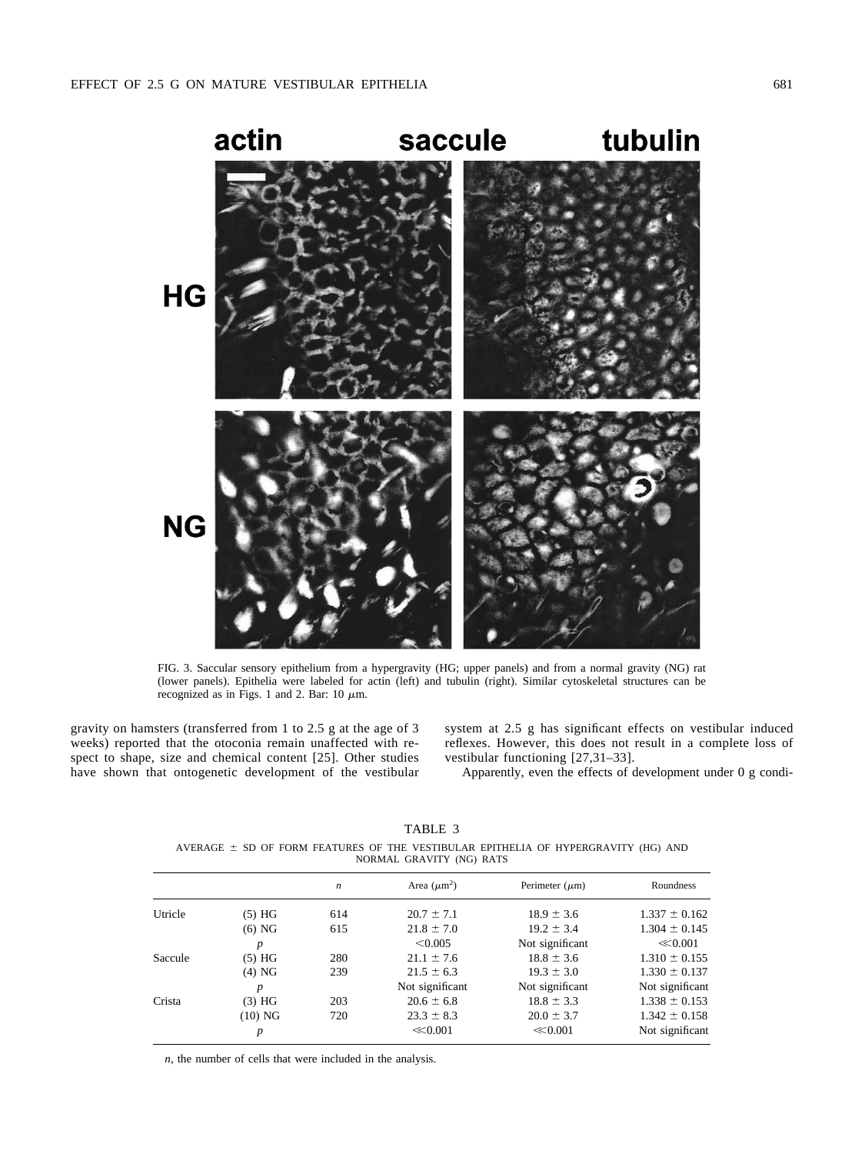

FIG. 3. Saccular sensory epithelium from a hypergravity (HG; upper panels) and from a normal gravity (NG) rat (lower panels). Epithelia were labeled for actin (left) and tubulin (right). Similar cytoskeletal structures can be recognized as in Figs. 1 and 2. Bar:  $10 \mu m$ .

gravity on hamsters (transferred from 1 to 2.5 g at the age of 3 weeks) reported that the otoconia remain unaffected with respect to shape, size and chemical content [25]. Other studies have shown that ontogenetic development of the vestibular

system at 2.5 g has significant effects on vestibular induced reflexes. However, this does not result in a complete loss of vestibular functioning [27,31–33].

Apparently, even the effects of development under 0 g condi-

TABLE 3 AVERAGE  $\pm$  SD OF FORM FEATURES OF THE VESTIBULAR EPITHELIA OF HYPERGRAVITY (HG) AND NORMAL GRAVITY (NG) RATS

|         |                  | n   | Area $(\mu m^2)$ | Perimeter $(\mu m)$ | Roundness         |
|---------|------------------|-----|------------------|---------------------|-------------------|
| Utricle | (5) HG           | 614 | $20.7 \pm 7.1$   | $18.9 \pm 3.6$      | $1.337 \pm 0.162$ |
|         | $(6)$ NG         | 615 | $21.8 \pm 7.0$   | $19.2 \pm 3.4$      | $1.304 \pm 0.145$ |
|         | $\boldsymbol{p}$ |     | < 0.005          | Not significant     | $\ll 0.001$       |
| Saccule | (5) HG           | 280 | $21.1 \pm 7.6$   | $18.8 \pm 3.6$      | $1.310 \pm 0.155$ |
|         | $(4)$ NG         | 239 | $21.5 \pm 6.3$   | $19.3 \pm 3.0$      | $1.330 \pm 0.137$ |
|         | $\boldsymbol{p}$ |     | Not significant  | Not significant     | Not significant   |
| Crista  | $(3)$ HG         | 203 | $20.6 \pm 6.8$   | $18.8 \pm 3.3$      | $1.338 \pm 0.153$ |
|         | $(10)$ NG        | 720 | $23.3 \pm 8.3$   | $20.0 \pm 3.7$      | $1.342 \pm 0.158$ |
|         | p                |     | $\ll 0.001$      | $\ll 0.001$         | Not significant   |

*n*, the number of cells that were included in the analysis.